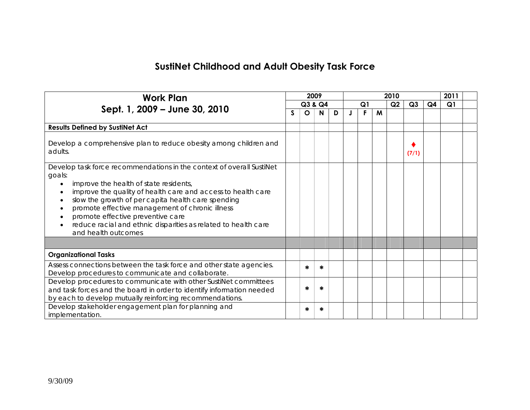## **SustiNet Childhood and Adult Obesity Task Force**

| <b>Work Plan</b>                                                                                                                                                                                                                                                                                                                                                                                                                              |         |          | 2009 |   |                |   | 2011 |    |       |                |    |  |
|-----------------------------------------------------------------------------------------------------------------------------------------------------------------------------------------------------------------------------------------------------------------------------------------------------------------------------------------------------------------------------------------------------------------------------------------------|---------|----------|------|---|----------------|---|------|----|-------|----------------|----|--|
|                                                                                                                                                                                                                                                                                                                                                                                                                                               | Q3 & Q4 |          |      |   | Q <sub>1</sub> |   |      | Q2 | Q3    | Q <sub>4</sub> | Q1 |  |
| Sept. 1, 2009 - June 30, 2010                                                                                                                                                                                                                                                                                                                                                                                                                 | S       | $\Omega$ | N    | D |                | F | M    |    |       |                |    |  |
| <b>Results Defined by SustiNet Act</b>                                                                                                                                                                                                                                                                                                                                                                                                        |         |          |      |   |                |   |      |    |       |                |    |  |
| Develop a comprehensive plan to reduce obesity among children and<br>adults.                                                                                                                                                                                                                                                                                                                                                                  |         |          |      |   |                |   |      |    | (7/1) |                |    |  |
| Develop task force recommendations in the context of overall SustiNet<br>goals:<br>improve the health of state residents,<br>$\bullet$<br>improve the quality of health care and access to health care<br>slow the growth of per capita health care spending<br>promote effective management of chronic illness<br>promote effective preventive care<br>reduce racial and ethnic disparities as related to health care<br>and health outcomes |         |          |      |   |                |   |      |    |       |                |    |  |
|                                                                                                                                                                                                                                                                                                                                                                                                                                               |         |          |      |   |                |   |      |    |       |                |    |  |
| <b>Organizational Tasks</b>                                                                                                                                                                                                                                                                                                                                                                                                                   |         |          |      |   |                |   |      |    |       |                |    |  |
| Assess connections between the task force and other state agencies.<br>Develop procedures to communicate and collaborate.                                                                                                                                                                                                                                                                                                                     |         | ∗        | ∗    |   |                |   |      |    |       |                |    |  |
| Develop procedures to communicate with other SustiNet committees<br>and task forces and the board in order to identify information needed<br>by each to develop mutually reinforcing recommendations.                                                                                                                                                                                                                                         |         | ∗        | ∗    |   |                |   |      |    |       |                |    |  |
| Develop stakeholder engagement plan for planning and<br>implementation.                                                                                                                                                                                                                                                                                                                                                                       |         | ∗        | ∗    |   |                |   |      |    |       |                |    |  |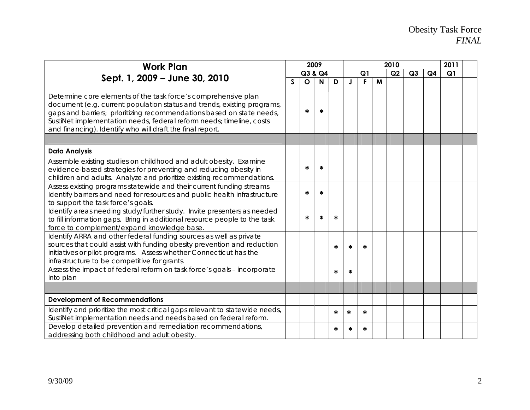| <b>Work Plan</b>                                                                                                                                                                                                                                                                                                                                        |         |         | 2009 |    |   |   | 2011 |    |                |    |  |  |
|---------------------------------------------------------------------------------------------------------------------------------------------------------------------------------------------------------------------------------------------------------------------------------------------------------------------------------------------------------|---------|---------|------|----|---|---|------|----|----------------|----|--|--|
| Sept. 1, 2009 - June 30, 2010                                                                                                                                                                                                                                                                                                                           | Q3 & Q4 |         |      | Q1 |   |   | Q2   | Q3 | Q <sub>4</sub> | Q1 |  |  |
|                                                                                                                                                                                                                                                                                                                                                         | S       | $\circ$ | N    | D  |   | F | M    |    |                |    |  |  |
| Determine core elements of the task force's comprehensive plan<br>document (e.g. current population status and trends, existing programs,<br>gaps and barriers; prioritizing recommendations based on state needs,<br>SustiNet implementation needs, federal reform needs; timeline, costs<br>and financing). Identify who will draft the final report. |         | ∗       | ∗    |    |   |   |      |    |                |    |  |  |
|                                                                                                                                                                                                                                                                                                                                                         |         |         |      |    |   |   |      |    |                |    |  |  |
| <b>Data Analysis</b>                                                                                                                                                                                                                                                                                                                                    |         |         |      |    |   |   |      |    |                |    |  |  |
| Assemble existing studies on childhood and adult obesity. Examine<br>evidence-based strategies for preventing and reducing obesity in<br>children and adults. Analyze and prioritize existing recommendations.                                                                                                                                          |         | ∗       | ∗    |    |   |   |      |    |                |    |  |  |
| Assess existing programs statewide and their current funding streams.<br>Identify barriers and need for resources and public health infrastructure<br>to support the task force's goals.                                                                                                                                                                |         | ∗       | ∗    |    |   |   |      |    |                |    |  |  |
| Identify areas needing study/further study. Invite presenters as needed<br>to fill information gaps. Bring in additional resource people to the task<br>force to complement/expand knowledge base.                                                                                                                                                      |         | ∗       |      | ∗  |   |   |      |    |                |    |  |  |
| Identify ARRA and other federal funding sources as well as private<br>sources that could assist with funding obesity prevention and reduction<br>initiatives or pilot programs. Assess whether Connecticut has the<br>infrastructure to be competitive for grants.                                                                                      |         |         |      | ∗  |   | ∗ |      |    |                |    |  |  |
| Assess the impact of federal reform on task force's goals - incorporate<br>into plan                                                                                                                                                                                                                                                                    |         |         |      | ∗  | * |   |      |    |                |    |  |  |
|                                                                                                                                                                                                                                                                                                                                                         |         |         |      |    |   |   |      |    |                |    |  |  |
| <b>Development of Recommendations</b>                                                                                                                                                                                                                                                                                                                   |         |         |      |    |   |   |      |    |                |    |  |  |
| Identify and prioritize the most critical gaps relevant to statewide needs,<br>SustiNet implementation needs and needs based on federal reform.                                                                                                                                                                                                         |         |         |      | ∗  | ∗ | ∗ |      |    |                |    |  |  |
| Develop detailed prevention and remediation recommendations,<br>addressing both childhood and adult obesity.                                                                                                                                                                                                                                            |         |         |      | ∗  | * | ∗ |      |    |                |    |  |  |